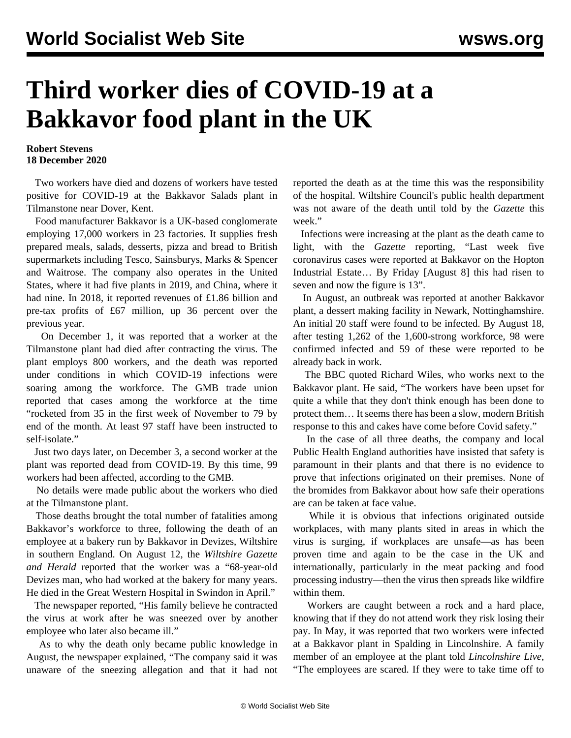## **Third worker dies of COVID-19 at a Bakkavor food plant in the UK**

## **Robert Stevens 18 December 2020**

 Two workers have died and dozens of workers have tested positive for COVID-19 at the Bakkavor Salads plant in Tilmanstone near Dover, Kent.

 Food manufacturer Bakkavor is a UK-based conglomerate employing 17,000 workers in 23 factories. It supplies fresh prepared meals, salads, desserts, pizza and bread to British supermarkets including Tesco, Sainsburys, Marks & Spencer and Waitrose. The company also operates in the United States, where it had five plants in 2019, and China, where it had nine. In 2018, it reported revenues of £1.86 billion and pre-tax profits of £67 million, up 36 percent over the previous year.

 On December 1, it was reported that a worker at the Tilmanstone plant had died after contracting the virus. The plant employs 800 workers, and the death was reported under conditions in which COVID-19 infections were soaring among the workforce. The GMB trade union reported that cases among the workforce at the time "rocketed from 35 in the first week of November to 79 by end of the month. At least 97 staff have been instructed to self-isolate."

 Just two days later, on December 3, a second worker at the plant was reported dead from COVID-19. By this time, 99 workers had been affected, according to the GMB.

 No details were made public about the workers who died at the Tilmanstone plant.

 Those deaths brought the total number of fatalities among Bakkavor's workforce to three, following the death of an employee at a bakery run by Bakkavor in Devizes, Wiltshire in southern England. On August 12, the *Wiltshire Gazette and Herald* reported that the worker was a "68-year-old Devizes man, who had worked at the bakery for many years. He died in the Great Western Hospital in Swindon in April."

 The newspaper reported, "His family believe he contracted the virus at work after he was sneezed over by another employee who later also became ill."

 As to why the death only became public knowledge in August, the newspaper explained, "The company said it was unaware of the sneezing allegation and that it had not reported the death as at the time this was the responsibility of the hospital. Wiltshire Council's public health department was not aware of the death until told by the *Gazette* this week."

 Infections were increasing at the plant as the death came to light, with the *Gazette* reporting, "Last week five coronavirus cases were reported at Bakkavor on the Hopton Industrial Estate… By Friday [August 8] this had risen to seven and now the figure is 13".

 In August, an outbreak was reported at another Bakkavor plant, a dessert making facility in Newark, Nottinghamshire. An initial 20 staff were found to be infected. By August 18, after testing 1,262 of the 1,600-strong workforce, 98 were confirmed infected and 59 of these were reported to be already back in work.

 The BBC quoted Richard Wiles, who works next to the Bakkavor plant. He said, "The workers have been upset for quite a while that they don't think enough has been done to protect them… It seems there has been a slow, modern British response to this and cakes have come before Covid safety."

 In the case of all three deaths, the company and local Public Health England authorities have insisted that safety is paramount in their plants and that there is no evidence to prove that infections originated on their premises. None of the bromides from Bakkavor about how safe their operations are can be taken at face value.

 While it is obvious that infections originated outside workplaces, with many plants sited in areas in which the virus is surging, if workplaces are unsafe—as has been proven time and again to be the case in the UK and internationally, particularly in the [meat packing](/en/articles/2020/07/08/meat-j08.html) and [food](/en/articles/2020/10/02/fouk-o02.html) [processing industry—](/en/articles/2020/10/02/fouk-o02.html)then the virus then spreads like wildfire within them.

 Workers are caught between a rock and a hard place, knowing that if they do not attend work they risk losing their pay. In May, it was reported that two workers were infected at a Bakkavor plant in Spalding in Lincolnshire. A family member of an employee at the plant told *Lincolnshire Live*, "The employees are scared. If they were to take time off to